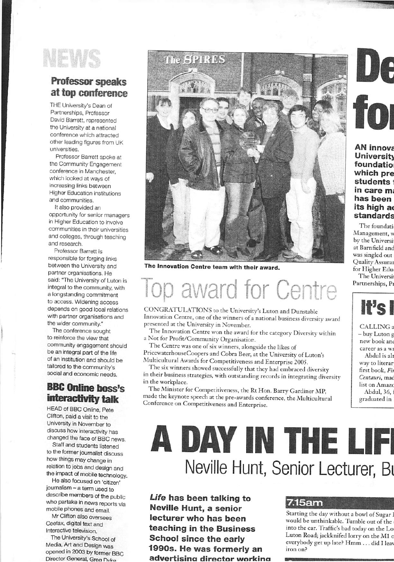

## Professor speaks at top conference

THE University's Dean of Partnerships, Professor David Barrett, represented the University at a national conference which attacted other leading figures from UK universities.

Professor Barrett spoke at the Community Engagement conference in Manchester, which looked at ways of increasing links between Higher Education institutions and communities.

It also provided an opportunity for senior managers in Higher Education to involve communities in their universities and colleges, through teaching and research.

Professor Barrett is responsible for forging links between the University and partner organisations. He said: "The University of Luton is integral to the community, with a longstanding commitment to access. Widening access depends on good local relations with partner organisations and the wider community."

The conference sought to reinforce the view that community engagement should be an integral part of the life of an institution and should be tailored to the community's social and economic needs.

### BBC Online boss's interactivity talk

HEAD of BBC Online, Pete Clifton, paid a visit to the University in November to discuss how interactivity has changed the face of BBC news,

Staff and students listened to the former journalist discuss how things may change in relation to jobs and design and the impact of mobile technology.

He also focused on 'citizen' journalism — a term used to describe members of the public who partake in news reports via mobile phones and email.

Mr Clifton also oversees Ceefax, digital text and Interactive television.

The University's School of Media, Art and Design was opened in 2003 by former BBC Director General, Grea Dyke



The Innovation Centre team with their award.

# award for Centre

CONGRATULATIONS to the University's Luton and Dunstable Innovation Centre, one of the winners of a national business diversity award presented at the University in November.

The Innovation Centre won the award for the category Diversity within a Not for Profit/Community Organisation.

The Centre was one of six winners, alongside the likes of PricewaterhouseCoopers and Cobra Beer, at the University of Luton's Multicultural Awards for Competitiveness and Enterprise 2005.

The six winners showed successfully that they had embraced diversity in their business strategies, with outstanding records in integrating diversity in the workplace.

The Minister for Competitiveness, the Rt Hon. Barry Gardiner MP, made the keynote speech at the pre-awards conference, the Multicultural Conference on Competitiveness and Enterprise.

**AN innova University** foundatio which pre students : in care ma has been its high ad standards

The foundati .Management, w by the Universi at Bamfield and was singled out Quality-Assurar for Higher Edui The Universii

Partnerships, Pr



CALLING<sub>a</sub> - buy Luton g new book and career as a w Abdul is a way to literar first book, F Centauri, ma list on Amazo .Abdul, 36, graduated in

# A DAY IN THE LIFI Neville Hunt, Senior Lecturer, Bi

Life has been talking to Neville Hunt, a senior lecturer who has been teaching in the Business School since the early 1990s. He was formerly an advertisina director working

### 7.15am

Starting the day without a bowl of Sugar would be unthinkable. Tumble out of the into the car. Traffic's bad today on the L< Luton Road; jackknifed lorry on the M1 o everybody get up late? Hmm . . . did I leav iron on?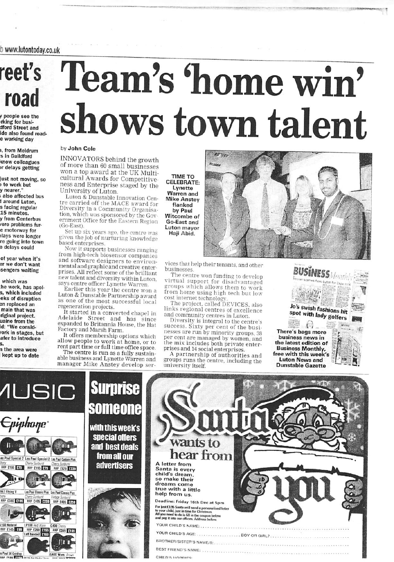b wwwJutontoday.co.uk

## reet's road

#### y people see the rking for busidford Street and Ide also found roade working day

1, from Meldrum s in Quildford know colleagues >r delays getting

lust not moving, so i to work but y nearer. also affected bus 1 around Luton, s facing regular 15 minutes, y from Centerbus rere problems fure motorway for ilays were longer re going into town

of year when it's er we don't want sengers waiting

e delays could

which was he work, has apol-5, which Included eks of disruption en replaced an main that was riginal project, ualne from the id: "We consld- 'ork In stages, but afer to Introduce

s. n the area were

s Paul 56 G

ul 56 Goldtop<br>CSOO A DIT I CESSE Not FRIALE FRI

G400 Worn Brown

kept up to date

# Team's 'home win' shows town talent

#### by John Cole

INNOVATORS behind the growth of more than 60 small businesses won a top award at the UK Multi cultural Awards for Competitiveness and Enterprise staged by the University of Luton,

Luton & Dunstable Innovation Centre carried off the MACE award for<br>Diversity in a Community Organisation, which was sponsored bv the Government Office for the Eastern Region (Go-East).

Set up six years ago. the centre was given the job of nurturing knowledge based enterprises.

Now it supports businesses ranging from high-tech biosensor companies and software designers to environmental and graphic and creative enterprises. All reflect some of the brilliant new talent and diversity within Luton says centre officer Lynette Warren.

Earlier this year the centre won a Luton & Dunstable Pannership award as one of the most successful local regeneration projects.

It started in a converted chapel in Adelaide Street and has since expanded to Britannia House, the Hat Factory and Marsh Farm.

It offers membership options which<br>allow people to work at home, or to rent part time or full time office space. The centre is run as a fully sustainable business and Lynette Warren and manager Mike Anstey develop ser-

TIME TO CELEBRATE: Lynette Warren and Mike Anstey flanked by Paul Witcombe of Go-East and Luton mayor Haii Abid.



vices that help their tenants, and other businesses.

The centre won funding to develop virtual support for disadvantaged groups which allows them to work from home using high tech but low cost internet technology

The project, called DEVICES, also links regional centres of excellence and community centres in Luton

Diversity is integral to the centre's success. Sixty per cent of the busi nesses are run by minority groups, 38 per cent are managed by women, and the mix includes both private enter prises and 14 social enterprises.

A partnership of authorities and groups runs the centre, including the university itself.





CHILD'S HORRIES